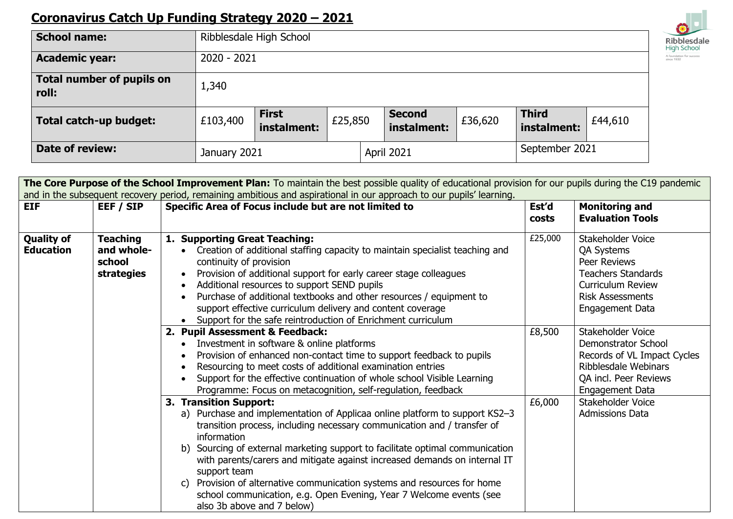## **Coronavirus Catch Up Funding Strategy 2020 – 2021**

| <b>School name:</b>                       | Ribblesdale High School |                             |         |            |                              |         |                             |         |
|-------------------------------------------|-------------------------|-----------------------------|---------|------------|------------------------------|---------|-----------------------------|---------|
| <b>Academic year:</b>                     | $2020 - 2021$           |                             |         |            |                              |         |                             |         |
| <b>Total number of pupils on</b><br>roll: | 1,340                   |                             |         |            |                              |         |                             |         |
| Total catch-up budget:                    | £103,400                | <b>First</b><br>instalment: | £25,850 |            | <b>Second</b><br>instalment: | £36,620 | <b>Third</b><br>instalment: | £44,610 |
| Date of review:                           | January 2021            |                             |         | April 2021 |                              |         | September 2021              |         |

| The Core Purpose of the School Improvement Plan: To maintain the best possible quality of educational provision for our pupils during the C19 pandemic |                                                       |                                                                                                                                                                                                                                                                                                                                                                                                                                                                                                                                                                   |         |                                                                                                                                                               |
|--------------------------------------------------------------------------------------------------------------------------------------------------------|-------------------------------------------------------|-------------------------------------------------------------------------------------------------------------------------------------------------------------------------------------------------------------------------------------------------------------------------------------------------------------------------------------------------------------------------------------------------------------------------------------------------------------------------------------------------------------------------------------------------------------------|---------|---------------------------------------------------------------------------------------------------------------------------------------------------------------|
| <b>EIF</b>                                                                                                                                             | EEF / SIP                                             | and in the subsequent recovery period, remaining ambitious and aspirational in our approach to our pupils' learning.<br>Specific Area of Focus include but are not limited to                                                                                                                                                                                                                                                                                                                                                                                     | Est'd   | <b>Monitoring and</b>                                                                                                                                         |
|                                                                                                                                                        |                                                       |                                                                                                                                                                                                                                                                                                                                                                                                                                                                                                                                                                   | costs   | <b>Evaluation Tools</b>                                                                                                                                       |
| <b>Quality of</b><br><b>Education</b>                                                                                                                  | <b>Teaching</b><br>and whole-<br>school<br>strategies | 1. Supporting Great Teaching:<br>Creation of additional staffing capacity to maintain specialist teaching and<br>continuity of provision<br>Provision of additional support for early career stage colleagues<br>Additional resources to support SEND pupils<br>Purchase of additional textbooks and other resources / equipment to<br>support effective curriculum delivery and content coverage<br>Support for the safe reintroduction of Enrichment curriculum                                                                                                 | £25,000 | Stakeholder Voice<br><b>QA Systems</b><br>Peer Reviews<br><b>Teachers Standards</b><br><b>Curriculum Review</b><br><b>Risk Assessments</b><br>Engagement Data |
|                                                                                                                                                        |                                                       | 2. Pupil Assessment & Feedback:<br>Investment in software & online platforms<br>Provision of enhanced non-contact time to support feedback to pupils<br>Resourcing to meet costs of additional examination entries<br>Support for the effective continuation of whole school Visible Learning<br>Programme: Focus on metacognition, self-regulation, feedback                                                                                                                                                                                                     | £8,500  | Stakeholder Voice<br>Demonstrator School<br>Records of VL Impact Cycles<br>Ribblesdale Webinars<br>QA incl. Peer Reviews<br>Engagement Data                   |
|                                                                                                                                                        |                                                       | 3. Transition Support:<br>a) Purchase and implementation of Applicaa online platform to support KS2-3<br>transition process, including necessary communication and / transfer of<br>information<br>b) Sourcing of external marketing support to facilitate optimal communication<br>with parents/carers and mitigate against increased demands on internal IT<br>support team<br>Provision of alternative communication systems and resources for home<br>C)<br>school communication, e.g. Open Evening, Year 7 Welcome events (see<br>also 3b above and 7 below) | £6,000  | Stakeholder Voice<br><b>Admissions Data</b>                                                                                                                   |